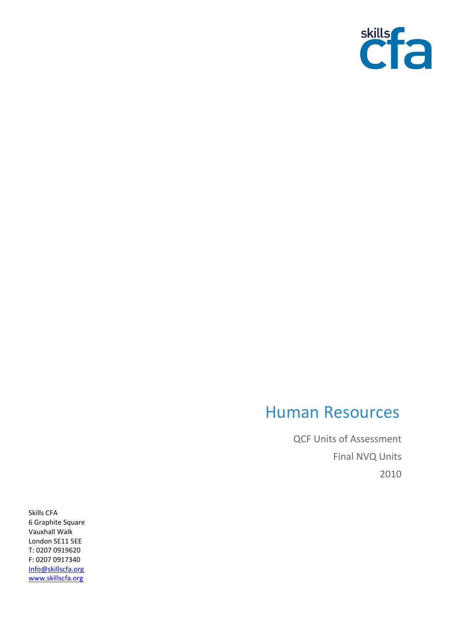

## Human Resources

QCF Units of Assessment Final NVQ Units 2010

Skills CFA 6 Graphite Square Vauxhall Walk London SE11 5EE T: 0207 0919620 F: 0207 0917340 [Info@skillscfa.org](mailto:Info@skillscfa.org) [www.skillscfa.org](http://www.skillscfa.org/)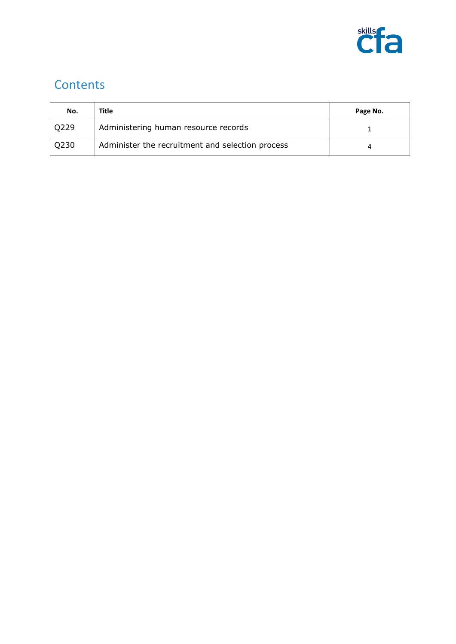

## **Contents**

| No.  | Title                                            | Page No. |
|------|--------------------------------------------------|----------|
| O229 | Administering human resource records             |          |
| Q230 | Administer the recruitment and selection process |          |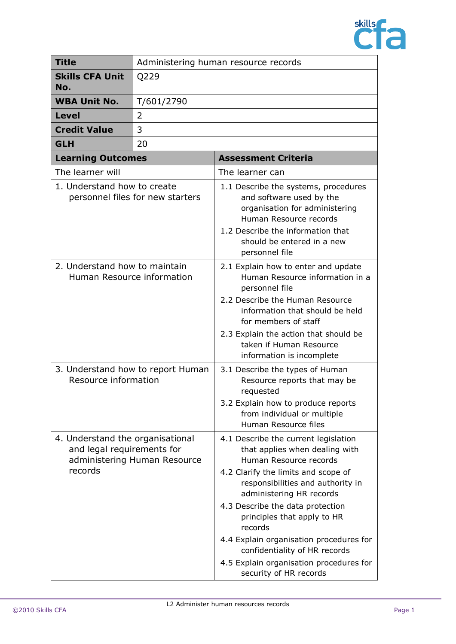

| <b>Title</b><br>Administering human resource records                                                      |            |                                                                                                                                                                                                                                                                                                                                                                                                                                         |
|-----------------------------------------------------------------------------------------------------------|------------|-----------------------------------------------------------------------------------------------------------------------------------------------------------------------------------------------------------------------------------------------------------------------------------------------------------------------------------------------------------------------------------------------------------------------------------------|
| <b>Skills CFA Unit</b><br>No.                                                                             | Q229       |                                                                                                                                                                                                                                                                                                                                                                                                                                         |
| <b>WBA Unit No.</b>                                                                                       | T/601/2790 |                                                                                                                                                                                                                                                                                                                                                                                                                                         |
| <b>Level</b>                                                                                              | 2          |                                                                                                                                                                                                                                                                                                                                                                                                                                         |
| <b>Credit Value</b>                                                                                       | 3          |                                                                                                                                                                                                                                                                                                                                                                                                                                         |
| <b>GLH</b>                                                                                                | 20         |                                                                                                                                                                                                                                                                                                                                                                                                                                         |
| <b>Learning Outcomes</b>                                                                                  |            | <b>Assessment Criteria</b>                                                                                                                                                                                                                                                                                                                                                                                                              |
| The learner will                                                                                          |            | The learner can                                                                                                                                                                                                                                                                                                                                                                                                                         |
| 1. Understand how to create<br>personnel files for new starters                                           |            | 1.1 Describe the systems, procedures<br>and software used by the<br>organisation for administering<br>Human Resource records<br>1.2 Describe the information that<br>should be entered in a new                                                                                                                                                                                                                                         |
| 2. Understand how to maintain<br>Human Resource information                                               |            | personnel file<br>2.1 Explain how to enter and update<br>Human Resource information in a<br>personnel file<br>2.2 Describe the Human Resource<br>information that should be held<br>for members of staff<br>2.3 Explain the action that should be<br>taken if Human Resource<br>information is incomplete                                                                                                                               |
| 3. Understand how to report Human<br>Resource information                                                 |            | 3.1 Describe the types of Human<br>Resource reports that may be<br>requested<br>3.2 Explain how to produce reports<br>from individual or multiple<br>Human Resource files                                                                                                                                                                                                                                                               |
| 4. Understand the organisational<br>and legal requirements for<br>administering Human Resource<br>records |            | 4.1 Describe the current legislation<br>that applies when dealing with<br>Human Resource records<br>4.2 Clarify the limits and scope of<br>responsibilities and authority in<br>administering HR records<br>4.3 Describe the data protection<br>principles that apply to HR<br>records<br>4.4 Explain organisation procedures for<br>confidentiality of HR records<br>4.5 Explain organisation procedures for<br>security of HR records |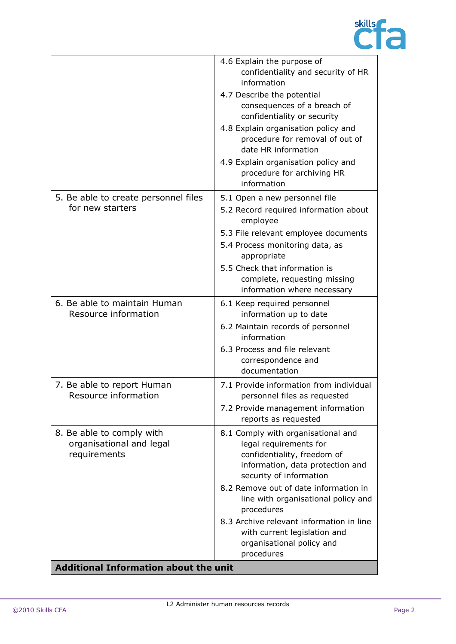

|                                                                       | 4.6 Explain the purpose of<br>confidentiality and security of HR<br>information<br>4.7 Describe the potential<br>consequences of a breach of<br>confidentiality or security<br>4.8 Explain organisation policy and<br>procedure for removal of out of<br>date HR information<br>4.9 Explain organisation policy and<br>procedure for archiving HR |
|-----------------------------------------------------------------------|---------------------------------------------------------------------------------------------------------------------------------------------------------------------------------------------------------------------------------------------------------------------------------------------------------------------------------------------------|
| 5. Be able to create personnel files<br>for new starters              | information<br>5.1 Open a new personnel file<br>5.2 Record required information about<br>employee<br>5.3 File relevant employee documents<br>5.4 Process monitoring data, as<br>appropriate<br>5.5 Check that information is<br>complete, requesting missing<br>information where necessary                                                       |
| 6. Be able to maintain Human<br>Resource information                  | 6.1 Keep required personnel<br>information up to date<br>6.2 Maintain records of personnel<br>information<br>6.3 Process and file relevant<br>correspondence and<br>documentation                                                                                                                                                                 |
| 7. Be able to report Human<br>Resource information                    | 7.1 Provide information from individual<br>personnel files as requested<br>7.2 Provide management information<br>reports as requested                                                                                                                                                                                                             |
| 8. Be able to comply with<br>organisational and legal<br>requirements | 8.1 Comply with organisational and<br>legal requirements for<br>confidentiality, freedom of<br>information, data protection and<br>security of information<br>8.2 Remove out of date information in<br>line with organisational policy and<br>procedures                                                                                          |
| <b>Additional Information about the unit</b>                          | 8.3 Archive relevant information in line<br>with current legislation and<br>organisational policy and<br>procedures                                                                                                                                                                                                                               |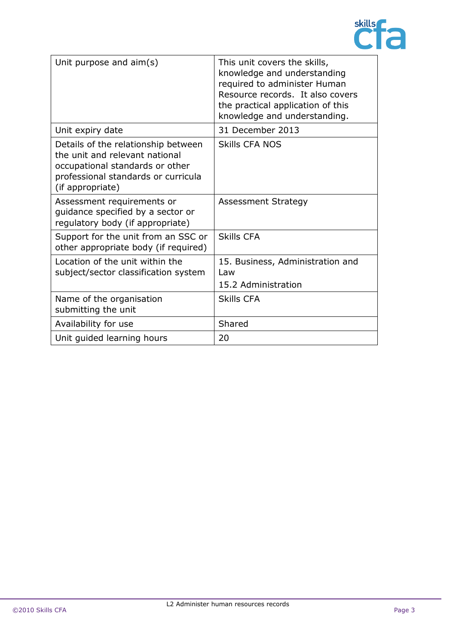

| Unit purpose and $aim(s)$                                                                                                                                           | This unit covers the skills,<br>knowledge and understanding<br>required to administer Human<br>Resource records. It also covers<br>the practical application of this<br>knowledge and understanding. |
|---------------------------------------------------------------------------------------------------------------------------------------------------------------------|------------------------------------------------------------------------------------------------------------------------------------------------------------------------------------------------------|
| Unit expiry date                                                                                                                                                    | 31 December 2013                                                                                                                                                                                     |
| Details of the relationship between<br>the unit and relevant national<br>occupational standards or other<br>professional standards or curricula<br>(if appropriate) | <b>Skills CFA NOS</b>                                                                                                                                                                                |
| Assessment requirements or<br>guidance specified by a sector or<br>regulatory body (if appropriate)                                                                 | <b>Assessment Strategy</b>                                                                                                                                                                           |
| Support for the unit from an SSC or<br>other appropriate body (if required)                                                                                         | Skills CFA                                                                                                                                                                                           |
| Location of the unit within the<br>subject/sector classification system                                                                                             | 15. Business, Administration and<br>l aw<br>15.2 Administration                                                                                                                                      |
| Name of the organisation<br>submitting the unit                                                                                                                     | <b>Skills CFA</b>                                                                                                                                                                                    |
| Availability for use                                                                                                                                                | Shared                                                                                                                                                                                               |
| Unit guided learning hours                                                                                                                                          | 20                                                                                                                                                                                                   |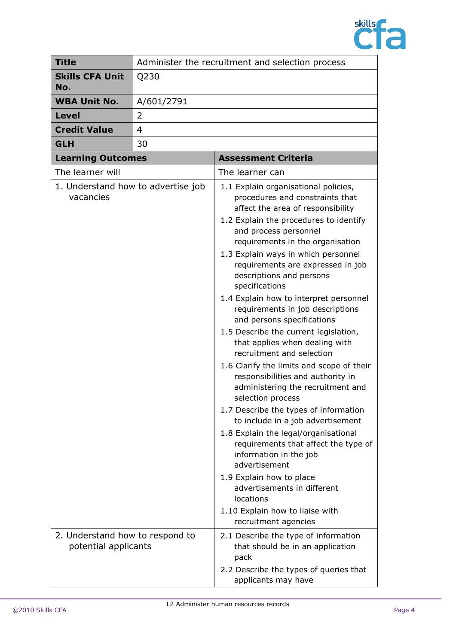

| <b>Title</b>                                            |            | Administer the recruitment and selection process                                                                                                                                                                                                                                                                                                                                                                                                                                                                                                                                                                                                                                                                                                                                                                                                                                                                                                                                                                                  |
|---------------------------------------------------------|------------|-----------------------------------------------------------------------------------------------------------------------------------------------------------------------------------------------------------------------------------------------------------------------------------------------------------------------------------------------------------------------------------------------------------------------------------------------------------------------------------------------------------------------------------------------------------------------------------------------------------------------------------------------------------------------------------------------------------------------------------------------------------------------------------------------------------------------------------------------------------------------------------------------------------------------------------------------------------------------------------------------------------------------------------|
| <b>Skills CFA Unit</b><br>No.                           | Q230       |                                                                                                                                                                                                                                                                                                                                                                                                                                                                                                                                                                                                                                                                                                                                                                                                                                                                                                                                                                                                                                   |
| <b>WBA Unit No.</b>                                     | A/601/2791 |                                                                                                                                                                                                                                                                                                                                                                                                                                                                                                                                                                                                                                                                                                                                                                                                                                                                                                                                                                                                                                   |
| <b>Level</b>                                            | 2          |                                                                                                                                                                                                                                                                                                                                                                                                                                                                                                                                                                                                                                                                                                                                                                                                                                                                                                                                                                                                                                   |
| <b>Credit Value</b>                                     | 4          |                                                                                                                                                                                                                                                                                                                                                                                                                                                                                                                                                                                                                                                                                                                                                                                                                                                                                                                                                                                                                                   |
| <b>GLH</b>                                              | 30         |                                                                                                                                                                                                                                                                                                                                                                                                                                                                                                                                                                                                                                                                                                                                                                                                                                                                                                                                                                                                                                   |
| <b>Learning Outcomes</b>                                |            | <b>Assessment Criteria</b>                                                                                                                                                                                                                                                                                                                                                                                                                                                                                                                                                                                                                                                                                                                                                                                                                                                                                                                                                                                                        |
| The learner will                                        |            | The learner can                                                                                                                                                                                                                                                                                                                                                                                                                                                                                                                                                                                                                                                                                                                                                                                                                                                                                                                                                                                                                   |
| 1. Understand how to advertise job<br>vacancies         |            | 1.1 Explain organisational policies,<br>procedures and constraints that<br>affect the area of responsibility<br>1.2 Explain the procedures to identify<br>and process personnel<br>requirements in the organisation<br>1.3 Explain ways in which personnel<br>requirements are expressed in job<br>descriptions and persons<br>specifications<br>1.4 Explain how to interpret personnel<br>requirements in job descriptions<br>and persons specifications<br>1.5 Describe the current legislation,<br>that applies when dealing with<br>recruitment and selection<br>1.6 Clarify the limits and scope of their<br>responsibilities and authority in<br>administering the recruitment and<br>selection process<br>1.7 Describe the types of information<br>to include in a job advertisement<br>1.8 Explain the legal/organisational<br>requirements that affect the type of<br>information in the job<br>advertisement<br>1.9 Explain how to place<br>advertisements in different<br>locations<br>1.10 Explain how to liaise with |
|                                                         |            | recruitment agencies                                                                                                                                                                                                                                                                                                                                                                                                                                                                                                                                                                                                                                                                                                                                                                                                                                                                                                                                                                                                              |
| 2. Understand how to respond to<br>potential applicants |            | 2.1 Describe the type of information<br>that should be in an application<br>pack<br>2.2 Describe the types of queries that<br>applicants may have                                                                                                                                                                                                                                                                                                                                                                                                                                                                                                                                                                                                                                                                                                                                                                                                                                                                                 |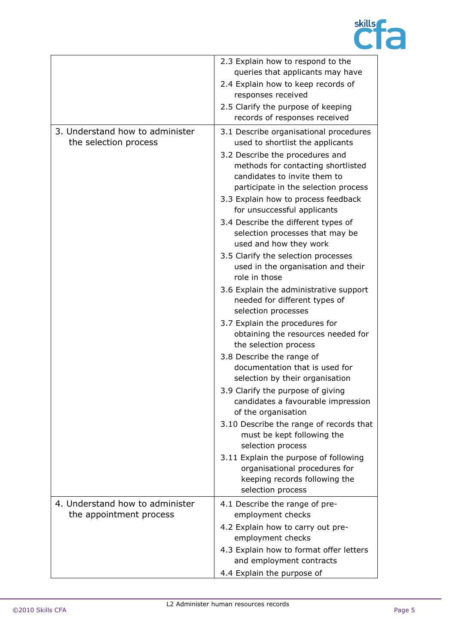

|                                                            | 2.3 Explain how to respond to the<br>queries that applicants may have<br>2.4 Explain how to keep records of<br>responses received                                                                                                                                                                                                                                                                                                                                                                                                                                                                                                                                                                                                                                                                                                                                                   |
|------------------------------------------------------------|-------------------------------------------------------------------------------------------------------------------------------------------------------------------------------------------------------------------------------------------------------------------------------------------------------------------------------------------------------------------------------------------------------------------------------------------------------------------------------------------------------------------------------------------------------------------------------------------------------------------------------------------------------------------------------------------------------------------------------------------------------------------------------------------------------------------------------------------------------------------------------------|
|                                                            | 2.5 Clarify the purpose of keeping<br>records of responses received                                                                                                                                                                                                                                                                                                                                                                                                                                                                                                                                                                                                                                                                                                                                                                                                                 |
| 3. Understand how to administer<br>the selection process   | 3.1 Describe organisational procedures<br>used to shortlist the applicants<br>3.2 Describe the procedures and<br>methods for contacting shortlisted<br>candidates to invite them to<br>participate in the selection process<br>3.3 Explain how to process feedback<br>for unsuccessful applicants<br>3.4 Describe the different types of<br>selection processes that may be<br>used and how they work<br>3.5 Clarify the selection processes<br>used in the organisation and their<br>role in those<br>3.6 Explain the administrative support<br>needed for different types of<br>selection processes<br>3.7 Explain the procedures for<br>obtaining the resources needed for<br>the selection process<br>3.8 Describe the range of<br>documentation that is used for<br>selection by their organisation<br>3.9 Clarify the purpose of giving<br>candidates a favourable impression |
|                                                            | 3.10 Describe the range of records that<br>must be kept following the<br>selection process<br>3.11 Explain the purpose of following                                                                                                                                                                                                                                                                                                                                                                                                                                                                                                                                                                                                                                                                                                                                                 |
|                                                            | organisational procedures for<br>keeping records following the<br>selection process                                                                                                                                                                                                                                                                                                                                                                                                                                                                                                                                                                                                                                                                                                                                                                                                 |
| 4. Understand how to administer<br>the appointment process | 4.1 Describe the range of pre-<br>employment checks                                                                                                                                                                                                                                                                                                                                                                                                                                                                                                                                                                                                                                                                                                                                                                                                                                 |
|                                                            | 4.2 Explain how to carry out pre-<br>employment checks                                                                                                                                                                                                                                                                                                                                                                                                                                                                                                                                                                                                                                                                                                                                                                                                                              |
|                                                            | 4.3 Explain how to format offer letters<br>and employment contracts                                                                                                                                                                                                                                                                                                                                                                                                                                                                                                                                                                                                                                                                                                                                                                                                                 |
|                                                            | of the organisation<br>4.4 Explain the purpose of                                                                                                                                                                                                                                                                                                                                                                                                                                                                                                                                                                                                                                                                                                                                                                                                                                   |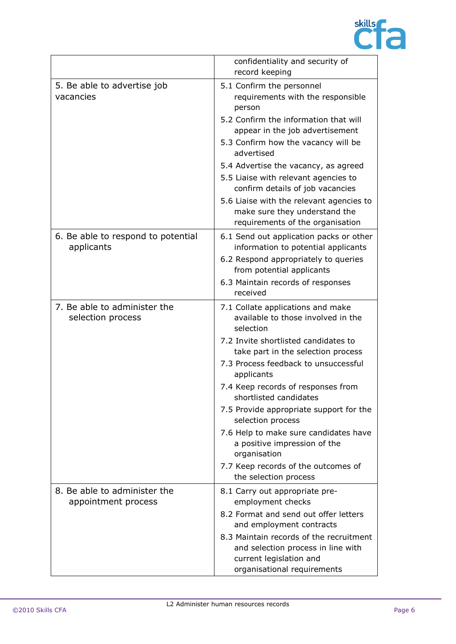

|                                                     | confidentiality and security of<br>record keeping                                                                                                                                                                                                                                                                                                                                                                                                                                                                 |
|-----------------------------------------------------|-------------------------------------------------------------------------------------------------------------------------------------------------------------------------------------------------------------------------------------------------------------------------------------------------------------------------------------------------------------------------------------------------------------------------------------------------------------------------------------------------------------------|
| 5. Be able to advertise job<br>vacancies            | 5.1 Confirm the personnel<br>requirements with the responsible<br>person<br>5.2 Confirm the information that will<br>appear in the job advertisement<br>5.3 Confirm how the vacancy will be<br>advertised<br>5.4 Advertise the vacancy, as agreed<br>5.5 Liaise with relevant agencies to<br>confirm details of job vacancies<br>5.6 Liaise with the relevant agencies to<br>make sure they understand the<br>requirements of the organisation                                                                    |
| 6. Be able to respond to potential<br>applicants    | 6.1 Send out application packs or other<br>information to potential applicants<br>6.2 Respond appropriately to queries<br>from potential applicants<br>6.3 Maintain records of responses<br>received                                                                                                                                                                                                                                                                                                              |
| 7. Be able to administer the<br>selection process   | 7.1 Collate applications and make<br>available to those involved in the<br>selection<br>7.2 Invite shortlisted candidates to<br>take part in the selection process<br>7.3 Process feedback to unsuccessful<br>applicants<br>7.4 Keep records of responses from<br>shortlisted candidates<br>7.5 Provide appropriate support for the<br>selection process<br>7.6 Help to make sure candidates have<br>a positive impression of the<br>organisation<br>7.7 Keep records of the outcomes of<br>the selection process |
| 8. Be able to administer the<br>appointment process | 8.1 Carry out appropriate pre-<br>employment checks<br>8.2 Format and send out offer letters<br>and employment contracts<br>8.3 Maintain records of the recruitment<br>and selection process in line with<br>current legislation and<br>organisational requirements                                                                                                                                                                                                                                               |